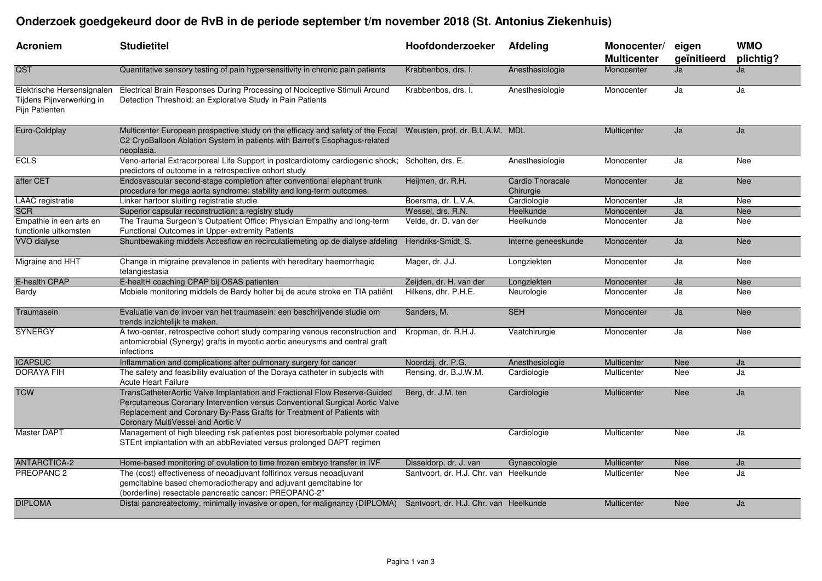## **Onderzoek goedgekeurd door de RvB in de periode september t/m november 2018 (St. Antonius Ziekenhuis)**

| <b>Acroniem</b>                                                           | <b>Studietitel</b>                                                                                                                                                                                                                                                       | Hoofdonderzoeker                       | Afdeling                      | Monocenter/<br><b>Multicenter</b> | eigen<br>geïnitieerd | <b>WMO</b><br>plichtig? |
|---------------------------------------------------------------------------|--------------------------------------------------------------------------------------------------------------------------------------------------------------------------------------------------------------------------------------------------------------------------|----------------------------------------|-------------------------------|-----------------------------------|----------------------|-------------------------|
| QST                                                                       | Quantitative sensory testing of pain hypersensitivity in chronic pain patients                                                                                                                                                                                           | Krabbenbos, drs. I.                    | Anesthesiologie               | Monocenter                        | Ja                   | Ja                      |
| Elektrische Hersensignalen<br>Tijdens Pijnverwerking in<br>Pijn Patienten | Electrical Brain Responses During Processing of Nociceptive Stimuli Around<br>Detection Threshold: an Explorative Study in Pain Patients                                                                                                                                 | Krabbenbos, drs. I.                    | Anesthesiologie               | Monocenter                        | Ja                   | Ja                      |
| Euro-Coldplay                                                             | Multicenter European prospective study on the efficacy and safety of the Focal Weusten, prof. dr. B.L.A.M. MDL<br>C2 CryoBalloon Ablation System in patients with Barret's Esophagus-related<br>neoplasia.                                                               |                                        |                               | Multicenter                       | Ja                   | Ja                      |
| <b>ECLS</b>                                                               | Veno-arterial Extracorporeal Life Support in postcardiotomy cardiogenic shock; Scholten, drs. E.<br>predictors of outcome in a retrospective cohort study                                                                                                                |                                        | Anesthesiologie               | Monocenter                        | Ja                   | Nee                     |
| after CET                                                                 | Endosvascular second-stage completion after conventional elephant trunk<br>procedure for mega aorta syndrome: stability and long-term outcomes.                                                                                                                          | Heijmen, dr. R.H.                      | Cardio Thoracale<br>Chirurgie | Monocenter                        | Ja                   | Nee                     |
| LAAC registratie                                                          | Linker hartoor sluiting registratie studie                                                                                                                                                                                                                               | Boersma, dr. L.V.A.                    | Cardiologie                   | Monocenter                        | Ja                   | Nee                     |
| <b>SCR</b>                                                                | Superior capsular reconstruction: a registry study                                                                                                                                                                                                                       | Wessel, drs. R.N.                      | Heelkunde                     | Monocenter                        | Ja                   | <b>Nee</b>              |
| Empathie in een arts en<br>functionle uitkomsten                          | The Trauma Surgeon"s Outpatient Office: Physician Empathy and long-term<br>Functional Outcomes in Upper-extremity Patients                                                                                                                                               | Velde, dr. D. van der                  | Heelkunde                     | Monocenter                        | Ja                   | Nee                     |
| <b>VVO</b> dialyse                                                        | Shuntbewaking middels Accesflow en recirculatiemeting op de dialyse afdeling                                                                                                                                                                                             | Hendriks-Smidt, S.                     | Interne geneeskunde           | Monocenter                        | Ja                   | <b>Nee</b>              |
| Migraine and HHT                                                          | Change in migraine prevalence in patients with hereditary haemorrhagic<br>telangiestasia                                                                                                                                                                                 | Mager, dr. J.J.                        | Longziekten                   | Monocenter                        | Ja                   | Nee                     |
| E-health CPAP                                                             | E-healtH coaching CPAP bij OSAS patienten                                                                                                                                                                                                                                | Zeijden, dr. H. van der                | Longziekten                   | Monocenter                        | Ja                   | <b>Nee</b>              |
| Bardy                                                                     | Mobiele monitoring middels de Bardy holter bij de acute stroke en TIA patiënt                                                                                                                                                                                            | Hilkens, dhr. P.H.E.                   | Neurologie                    | Monocenter                        | Ja                   | Nee                     |
| Traumasein                                                                | Evaluatie van de invoer van het traumasein: een beschrijvende studie om<br>trends inzichtelijk te maken.                                                                                                                                                                 | Sanders, M.                            | <b>SEH</b>                    | Monocenter                        | Ja                   | <b>Nee</b>              |
| <b>SYNERGY</b>                                                            | A two-center, retrospective cohort study comparing venous reconstruction and<br>antomicrobial (Synergy) grafts in mycotic aortic aneurysms and central graft<br>infections                                                                                               | Kropman, dr. R.H.J.                    | Vaatchirurgie                 | Monocenter                        | Ja                   | Nee                     |
| <b>ICAPSUC</b>                                                            | Inflammation and complications after pulmonary surgery for cancer                                                                                                                                                                                                        | Noordzij, dr. P.G.                     | Anesthesiologie               | Multicenter                       | <b>Nee</b>           | Ja                      |
| <b>DORAYA FIH</b>                                                         | The safety and feasibility evaluation of the Doraya catheter in subjects with<br><b>Acute Heart Failure</b>                                                                                                                                                              | Rensing, dr. B.J.W.M.                  | Cardiologie                   | Multicenter                       | Nee                  | Ja                      |
| <b>TCW</b>                                                                | TransCatheterAortic Valve Implantation and Fractional Flow Reserve-Guided<br>Percutaneous Coronary Intervention versus Conventional Surgical Aortic Valve<br>Replacement and Coronary By-Pass Grafts for Treatment of Patients with<br>Coronary MultiVessel and Aortic V | Berg, dr. J.M. ten                     | Cardiologie                   | Multicenter                       | <b>Nee</b>           | Ja                      |
| Master DAPT                                                               | Management of high bleeding risk patientes post bioresorbable polymer coated<br>STEnt implantation with an abbReviated versus prolonged DAPT regimen                                                                                                                     |                                        | Cardiologie                   | Multicenter                       | Nee                  | Ja                      |
| <b>ANTARCTICA-2</b>                                                       | Home-based monitoring of ovulation to time frozen embryo transfer in IVF                                                                                                                                                                                                 | Disseldorp, dr. J. van                 | Gynaecologie                  | Multicenter                       | <b>Nee</b>           | Ja                      |
| PREOPANC <sub>2</sub>                                                     | The (cost) effectiveness of neoadjuvant folfirinox versus neoadjuvant<br>gemcitabine based chemoradiotherapy and adjuvant gemcitabine for<br>(borderline) resectable pancreatic cancer: PREOPANC-2"                                                                      | Santvoort, dr. H.J. Chr. van Heelkunde |                               | Multicenter                       | Nee                  | Ja                      |
| <b>DIPLOMA</b>                                                            | Distal pancreatectomy, minimally invasive or open, for malignancy (DIPLOMA) Santvoort, dr. H.J. Chr. van Heelkunde                                                                                                                                                       |                                        |                               | Multicenter                       | <b>Nee</b>           | Ja                      |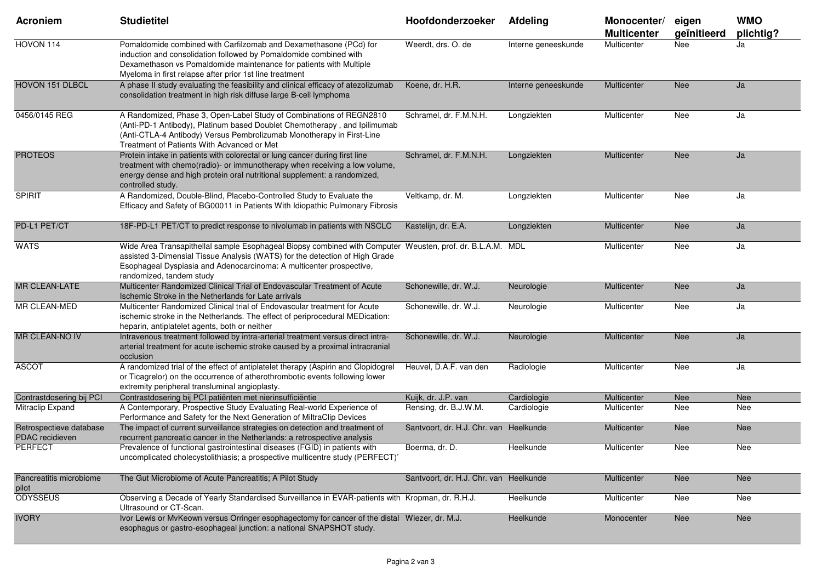| <b>Acroniem</b>                            | <b>Studietitel</b>                                                                                                                                                                                                                                                                          | Hoofdonderzoeker                       | Afdeling            | Monocenter/<br><b>Multicenter</b> | eigen<br>geïnitieerd | <b>WMO</b><br>plichtig? |
|--------------------------------------------|---------------------------------------------------------------------------------------------------------------------------------------------------------------------------------------------------------------------------------------------------------------------------------------------|----------------------------------------|---------------------|-----------------------------------|----------------------|-------------------------|
| HOVON 114                                  | Pomaldomide combined with Carfilzomab and Dexamethasone (PCd) for<br>induction and consolidation followed by Pomaldomide combined with<br>Dexamethason vs Pomaldomide maintenance for patients with Multiple<br>Myeloma in first relapse after prior 1st line treatment                     | Weerdt, drs. O. de                     | Interne geneeskunde | Multicenter                       | Nee                  | Ja                      |
| <b>HOVON 151 DLBCL</b>                     | A phase II study evaluating the feasibility and clinical efficacy of atezolizumab<br>consolidation treatment in high risk diffuse large B-cell lymphoma                                                                                                                                     | Koene, dr. H.R.                        | Interne geneeskunde | Multicenter                       | <b>Nee</b>           | Ja                      |
| 0456/0145 REG                              | A Randomized, Phase 3, Open-Label Study of Combinations of REGN2810<br>(Anti-PD-1 Antibody), Platinum based Doublet Chemotherapy, and Ipilimumab<br>(Anti-CTLA-4 Antibody) Versus Pembrolizumab Monotherapy in First-Line<br>Treatment of Patients With Advanced or Met                     | Schramel, dr. F.M.N.H.                 | Longziekten         | Multicenter                       | Nee                  | Ja                      |
| <b>PROTEOS</b>                             | Protein intake in patients with colorectal or lung cancer during first line<br>treatment with chemo(radio)- or immunotherapy when receiving a low volume,<br>energy dense and high protein oral nutritional supplement: a randomized,<br>controlled study.                                  | Schramel, dr. F.M.N.H.                 | Longziekten         | Multicenter                       | <b>Nee</b>           | Ja                      |
| <b>SPIRIT</b>                              | A Randomized, Double-Blind, Placebo-Controlled Study to Evaluate the<br>Efficacy and Safety of BG00011 in Patients With Idiopathic Pulmonary Fibrosis                                                                                                                                       | Veltkamp, dr. M.                       | Longziekten         | Multicenter                       | Nee                  | Ja                      |
| PD-L1 PET/CT                               | 18F-PD-L1 PET/CT to predict response to nivolumab in patients with NSCLC                                                                                                                                                                                                                    | Kastelijn, dr. E.A.                    | Longziekten         | Multicenter                       | Nee                  | Ja                      |
| <b>WATS</b>                                | Wide Area Transapithellal sample Esophageal Biopsy combined with Computer Weusten, prof. dr. B.L.A.M. MDL<br>assisted 3-Dimensial Tissue Analysis (WATS) for the detection of High Grade<br>Esophageal Dyspiasia and Adenocarcinoma: A multicenter prospective,<br>randomized, tandem study |                                        |                     | Multicenter                       | Nee                  | Ja                      |
| <b>MR CLEAN-LATE</b>                       | Multicenter Randomized Clinical Trial of Endovascular Treatment of Acute<br>Ischemic Stroke in the Netherlands for Late arrivals                                                                                                                                                            | Schonewille, dr. W.J.                  | Neurologie          | Multicenter                       | Nee                  | Ja                      |
| MR CLEAN-MED                               | Multicenter Randomized Clinical trial of Endovascular treatment for Acute<br>ischemic stroke in the Netherlands. The effect of periprocedural MEDication:<br>heparin, antiplatelet agents, both or neither                                                                                  | Schonewille, dr. W.J.                  | Neurologie          | Multicenter                       | Nee                  | Ja                      |
| <b>MR CLEAN-NO IV</b>                      | Intravenous treatment followed by intra-arterial treatment versus direct intra-<br>arterial treatment for acute ischemic stroke caused by a proximal intracranial<br>occlusion                                                                                                              | Schonewille, dr. W.J.                  | Neurologie          | Multicenter                       | <b>Nee</b>           | Ja                      |
| <b>ASCOT</b>                               | A randomized trial of the effect of antiplatelet therapy (Aspirin and Clopidogrel<br>or Ticagrelor) on the occurrence of atherothrombotic events following lower<br>extremity peripheral transluminal angioplasty.                                                                          | Heuvel, D.A.F. van den                 | Radiologie          | Multicenter                       | Nee                  | Ja                      |
| Contrastdosering bij PCI                   | Contrastdosering bij PCI patiënten met nierinsufficiëntie                                                                                                                                                                                                                                   | Kuijk, dr. J.P. van                    | Cardiologie         | Multicenter                       | Nee                  | Nee                     |
| Mitraclip Expand                           | A Contemporary, Prospective Study Evaluating Real-world Experience of<br>Performance and Safety for the Next Generation of MiltraClip Devices                                                                                                                                               | Rensing, dr. B.J.W.M.                  | Cardiologie         | Multicenter                       | Nee                  | Nee                     |
| Retrospectieve database<br>PDAC recidieven | The impact of current surveillance strategies on detection and treatment of<br>recurrent pancreatic cancer in the Netherlands: a retrospective analysis                                                                                                                                     | Santvoort, dr. H.J. Chr. van Heelkunde |                     | Multicenter                       | <b>Nee</b>           | Nee                     |
| <b>PERFECT</b>                             | Prevalence of functional gastrointestinal diseases (FGID) in patients with<br>uncomplicated cholecystolithiasis; a prospective multicentre study (PERFECT)'                                                                                                                                 | Boerma, dr. D.                         | Heelkunde           | Multicenter                       | Nee                  | Nee                     |
| Pancreatitis microbiome<br>pilot           | The Gut Microbiome of Acute Pancreatitis; A Pilot Study                                                                                                                                                                                                                                     | Santvoort, dr. H.J. Chr. van Heelkunde |                     | Multicenter                       | Nee                  | Nee                     |
| <b>ODYSSEUS</b>                            | Observing a Decade of Yearly Standardised Surveillance in EVAR-patients with Kropman, dr. R.H.J.<br>Ultrasound or CT-Scan.                                                                                                                                                                  |                                        | Heelkunde           | Multicenter                       | Nee                  | Nee                     |
| <b>IVORY</b>                               | Ivor Lewis or MvKeown versus Orringer esophagectomy for cancer of the distal Wiezer, dr. M.J.<br>esophagus or gastro-esophageal junction: a national SNAPSHOT study.                                                                                                                        |                                        | Heelkunde           | Monocenter                        | Nee                  | Nee                     |